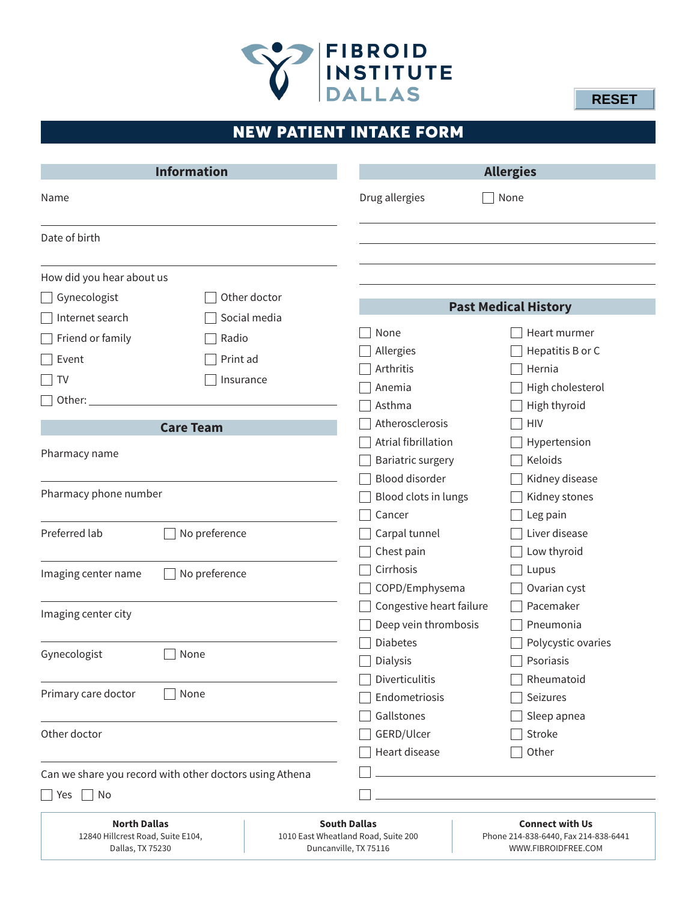

**RESET**

# NEW PATIENT INTAKE FORM

| <b>Information</b>                                      |                  | <b>Allergies</b>                                             |                                                             |
|---------------------------------------------------------|------------------|--------------------------------------------------------------|-------------------------------------------------------------|
| Name                                                    |                  | Drug allergies                                               | None                                                        |
| Date of birth                                           |                  |                                                              |                                                             |
| How did you hear about us                               |                  |                                                              |                                                             |
| Other doctor<br>Gynecologist                            |                  |                                                              |                                                             |
| Internet search                                         | Social media     |                                                              | <b>Past Medical History</b>                                 |
| Friend or family                                        | Radio            | None                                                         | Heart murmer                                                |
|                                                         |                  | Allergies                                                    | Hepatitis B or C                                            |
| Event                                                   | Print ad         | Arthritis                                                    | Hernia                                                      |
| TV                                                      | Insurance        | Anemia                                                       | High cholesterol                                            |
| Other:                                                  |                  | Asthma                                                       | High thyroid                                                |
|                                                         | <b>Care Team</b> | Atherosclerosis                                              | <b>HIV</b>                                                  |
|                                                         |                  | Atrial fibrillation                                          | Hypertension                                                |
| Pharmacy name                                           |                  | Bariatric surgery                                            | Keloids                                                     |
|                                                         |                  | <b>Blood disorder</b>                                        | Kidney disease                                              |
| Pharmacy phone number                                   |                  | Blood clots in lungs                                         | Kidney stones                                               |
|                                                         |                  | Cancer                                                       | Leg pain                                                    |
| Preferred lab                                           | No preference    | Carpal tunnel                                                | Liver disease                                               |
|                                                         |                  | Chest pain                                                   | Low thyroid                                                 |
| No preference<br>Imaging center name                    |                  | Cirrhosis                                                    | Lupus                                                       |
|                                                         |                  | COPD/Emphysema                                               | Ovarian cyst                                                |
| Imaging center city                                     |                  | Congestive heart failure                                     | Pacemaker                                                   |
|                                                         |                  | Deep vein thrombosis                                         | Pneumonia                                                   |
|                                                         |                  | <b>Diabetes</b>                                              | Polycystic ovaries                                          |
| Gynecologist                                            | None             | Dialysis                                                     | Psoriasis                                                   |
|                                                         |                  | <b>Diverticulitis</b>                                        | Rheumatoid                                                  |
| Primary care doctor                                     | None             | Endometriosis                                                | Seizures                                                    |
|                                                         |                  | Gallstones                                                   | Sleep apnea                                                 |
| Other doctor                                            |                  | GERD/Ulcer                                                   | Stroke                                                      |
|                                                         |                  | Heart disease                                                | Other                                                       |
| Can we share you record with other doctors using Athena |                  |                                                              |                                                             |
| No<br>$ $ Yes                                           |                  |                                                              |                                                             |
| <b>North Dallas</b>                                     |                  | <b>South Dallas</b>                                          | <b>Connect with Us</b>                                      |
| 12840 Hillcrest Road, Suite E104,<br>Dallas, TX 75230   |                  | 1010 East Wheatland Road, Suite 200<br>Duncanville, TX 75116 | Phone 214-838-6440, Fax 214-838-6441<br>WWW.FIBROIDFREE.COM |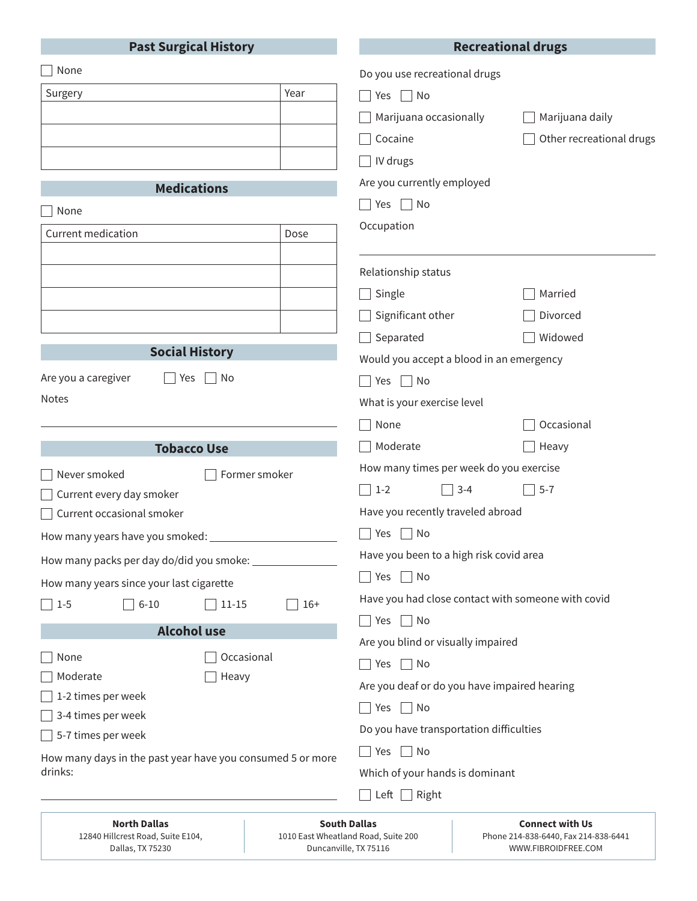#### **Past Surgical History**

## **Recreational drugs**

| None                                                                  | Do you use recreational drugs                      |                          |
|-----------------------------------------------------------------------|----------------------------------------------------|--------------------------|
| Year<br>Surgery                                                       | Yes $\Box$ No                                      |                          |
|                                                                       | Marijuana occasionally                             | Marijuana daily          |
|                                                                       | Cocaine                                            | Other recreational drugs |
|                                                                       | IV drugs                                           |                          |
|                                                                       | Are you currently employed                         |                          |
| <b>Medications</b>                                                    | $\top$ Yes $\Box$ No                               |                          |
| None                                                                  | Occupation                                         |                          |
| Current medication<br>Dose                                            |                                                    |                          |
|                                                                       | Relationship status                                |                          |
|                                                                       | Single                                             | Married                  |
|                                                                       | Significant other                                  | Divorced                 |
|                                                                       | Separated                                          | Widowed                  |
| <b>Social History</b>                                                 | Would you accept a blood in an emergency           |                          |
| Are you a caregiver<br>$ $ No<br>Yes                                  | Yes $\Box$ No<br>$\Box$                            |                          |
| Notes                                                                 | What is your exercise level                        |                          |
|                                                                       | None                                               | Occasional               |
|                                                                       |                                                    |                          |
| <b>Tobacco Use</b>                                                    | Moderate                                           | Heavy                    |
|                                                                       | How many times per week do you exercise            |                          |
| Never smoked<br>Former smoker<br>Current every day smoker             | $\sqrt{3-4}$<br>$\sqrt{1-2}$                       | $5 - 7$                  |
| Current occasional smoker                                             | Have you recently traveled abroad                  |                          |
|                                                                       | $\Box$ Yes $\Box$ No                               |                          |
|                                                                       | Have you been to a high risk covid area            |                          |
| How many packs per day do/did you smoke: _                            | No<br>Yes                                          |                          |
| How many years since your last cigarette                              | Have you had close contact with someone with covid |                          |
| $6 - 10$<br>$16+$<br>$\sqrt{1-5}$<br>$11 - 15$                        | Yes $\Box$ No                                      |                          |
| <b>Alcohol use</b>                                                    | Are you blind or visually impaired                 |                          |
| Occasional<br>None                                                    | Yes $\Box$ No<br>$\Box$                            |                          |
| Moderate<br>Heavy                                                     | Are you deaf or do you have impaired hearing       |                          |
| 1-2 times per week                                                    | Yes $\Box$ No<br>$\blacksquare$                    |                          |
| 3-4 times per week                                                    | Do you have transportation difficulties            |                          |
| 5-7 times per week                                                    | $\Box$ No<br>Yes                                   |                          |
| How many days in the past year have you consumed 5 or more<br>drinks: | Which of your hands is dominant                    |                          |
|                                                                       | Left $\Box$ Right                                  |                          |

| <b>North Dallas</b>               | <b>South Dallas</b>                 | Conı          |
|-----------------------------------|-------------------------------------|---------------|
| 12840 Hillcrest Road, Suite E104. | 1010 East Wheatland Road, Suite 200 | Phone 214-838 |
| Dallas, TX 75230                  | Duncanville, TX 75116               | WWW.FI        |

**Connect with Us** 8-6440, Fax 214-838-6441 WWW.FIBROIDFREE.COM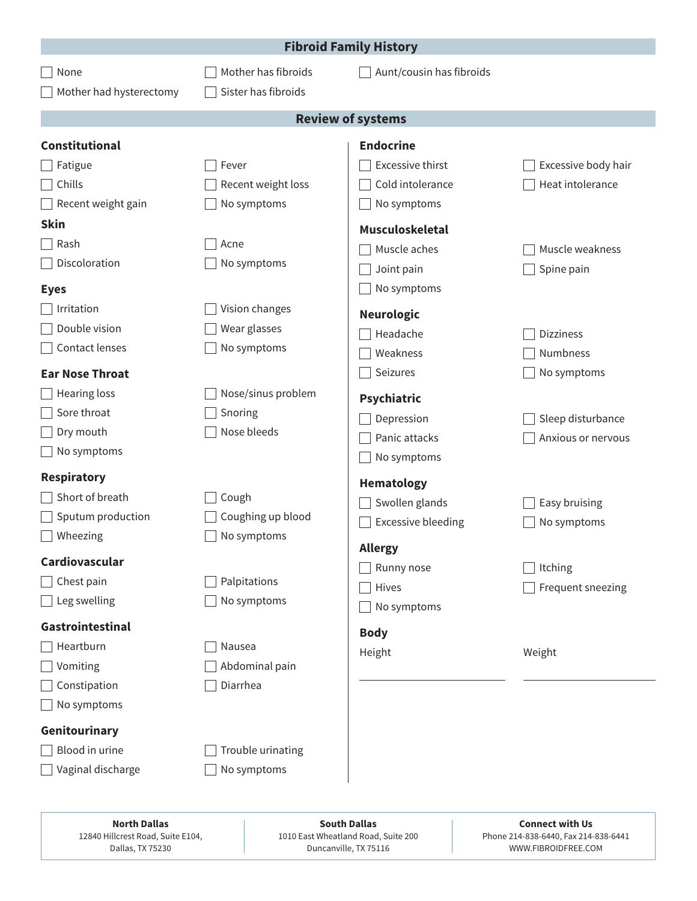|                         |                         | <b>Fibroid Family History</b> |                     |
|-------------------------|-------------------------|-------------------------------|---------------------|
| None                    | Mother has fibroids     | Aunt/cousin has fibroids      |                     |
| Mother had hysterectomy | Sister has fibroids     |                               |                     |
|                         |                         | <b>Review of systems</b>      |                     |
| <b>Constitutional</b>   |                         | <b>Endocrine</b>              |                     |
| Fatigue                 | Fever                   | <b>Excessive thirst</b>       | Excessive body hair |
| Chills                  | Recent weight loss      | Cold intolerance              | Heat intolerance    |
| Recent weight gain      | No symptoms             | No symptoms                   |                     |
| <b>Skin</b>             |                         | <b>Musculoskeletal</b>        |                     |
| Rash                    | Acne                    | Muscle aches                  | Muscle weakness     |
| Discoloration           | No symptoms             | Joint pain                    | Spine pain          |
| <b>Eyes</b>             |                         | No symptoms                   |                     |
| Irritation              | Vision changes          | <b>Neurologic</b>             |                     |
| Double vision           | Wear glasses            | Headache                      | <b>Dizziness</b>    |
| Contact lenses          | No symptoms             | Weakness                      | Numbness            |
| <b>Ear Nose Throat</b>  |                         | Seizures                      | No symptoms         |
| <b>Hearing loss</b>     | Nose/sinus problem      | Psychiatric                   |                     |
| Sore throat             | Snoring                 | Depression                    | Sleep disturbance   |
| Dry mouth               | Nose bleeds             | Panic attacks                 | Anxious or nervous  |
| No symptoms             |                         | No symptoms                   |                     |
| <b>Respiratory</b>      |                         | Hematology                    |                     |
| Short of breath         | Cough                   | Swollen glands                | Easy bruising       |
| Sputum production       | Coughing up blood       | <b>Excessive bleeding</b>     | No symptoms         |
| Wheezing                | $\bigsqcup$ No symptoms |                               |                     |
| Cardiovascular          |                         | <b>Allergy</b>                |                     |
| Chest pain              | Palpitations            | Runny nose                    | Itching             |
| Leg swelling            | No symptoms             | Hives                         | Frequent sneezing   |
| Gastrointestinal        |                         | No symptoms                   |                     |
| Heartburn               | Nausea                  | <b>Body</b>                   |                     |
| Vomiting                | Abdominal pain          | Height                        | Weight              |
| Constipation            | Diarrhea                |                               |                     |
| No symptoms             |                         |                               |                     |
| Genitourinary           |                         |                               |                     |
| Blood in urine          | Trouble urinating       |                               |                     |
| Vaginal discharge       | No symptoms             |                               |                     |
|                         |                         |                               |                     |

**North Dallas** 12840 Hillcrest Road, Suite E104, Dallas, TX 75230

**South Dallas** 1010 East Wheatland Road, Suite 200 Duncanville, TX 75116

**Connect with Us** Phone 214-838-6440, Fax 214-838-6441 WWW.FIBROIDFREE.COM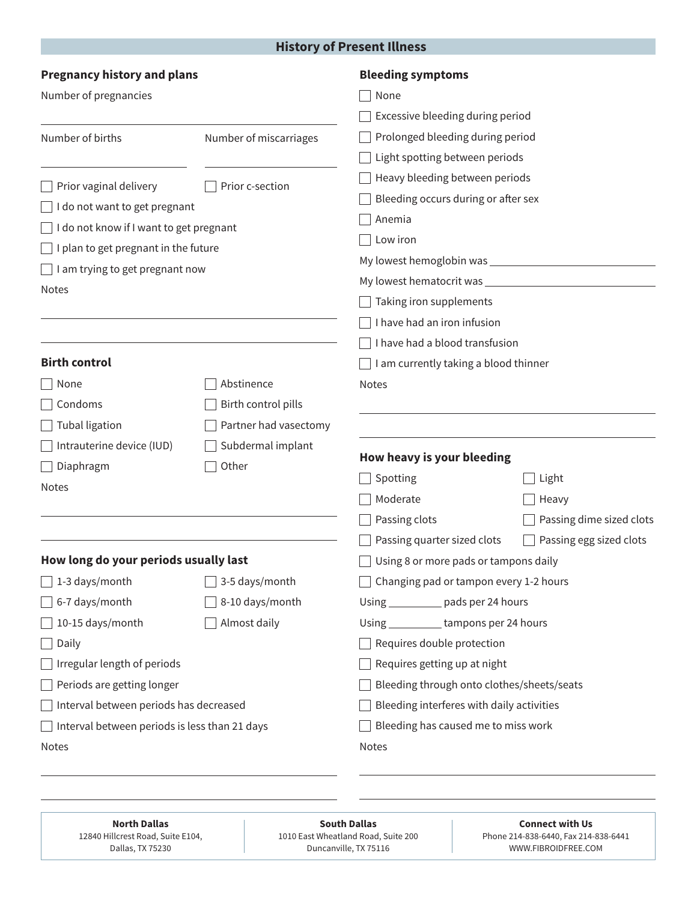## **History of Present Illness**

| <b>Pregnancy history and plans</b>            |                        | <b>Bleeding symptoms</b>                   |                          |
|-----------------------------------------------|------------------------|--------------------------------------------|--------------------------|
| Number of pregnancies                         |                        | None                                       |                          |
|                                               |                        | Excessive bleeding during period           |                          |
| Number of births                              | Number of miscarriages | Prolonged bleeding during period           |                          |
|                                               |                        | Light spotting between periods             |                          |
| Prior vaginal delivery                        | Prior c-section        | Heavy bleeding between periods             |                          |
| I do not want to get pregnant                 |                        | Bleeding occurs during or after sex        |                          |
| I do not know if I want to get pregnant       |                        | Anemia                                     |                          |
| I plan to get pregnant in the future          |                        | Low iron                                   |                          |
| I am trying to get pregnant now               |                        |                                            |                          |
| <b>Notes</b>                                  |                        |                                            |                          |
|                                               |                        | Taking iron supplements                    |                          |
|                                               |                        | I have had an iron infusion                |                          |
|                                               |                        | I have had a blood transfusion             |                          |
| <b>Birth control</b>                          |                        | I am currently taking a blood thinner      |                          |
| None                                          | Abstinence             | <b>Notes</b>                               |                          |
| Condoms                                       | Birth control pills    |                                            |                          |
| <b>Tubal ligation</b>                         | Partner had vasectomy  |                                            |                          |
| Intrauterine device (IUD)                     | Subdermal implant      | How heavy is your bleeding                 |                          |
| Diaphragm                                     | Other                  | Spotting                                   | Light                    |
| <b>Notes</b>                                  |                        | Moderate                                   | Heavy                    |
|                                               |                        | Passing clots                              | Passing dime sized clots |
|                                               |                        | Passing quarter sized clots                | Passing egg sized clots  |
| How long do your periods usually last         |                        | Using 8 or more pads or tampons daily      |                          |
| 1-3 days/month                                | 3-5 days/month         | Changing pad or tampon every 1-2 hours     |                          |
| 6-7 days/month                                | 8-10 days/month        | Using ___________ pads per 24 hours        |                          |
| 10-15 days/month                              | Almost daily           | Using ____________ tampons per 24 hours    |                          |
| Daily                                         |                        | Requires double protection                 |                          |
| Irregular length of periods                   |                        | Requires getting up at night               |                          |
| Periods are getting longer                    |                        | Bleeding through onto clothes/sheets/seats |                          |
| Interval between periods has decreased        |                        | Bleeding interferes with daily activities  |                          |
| Interval between periods is less than 21 days |                        | Bleeding has caused me to miss work        |                          |
| Notes                                         |                        | Notes                                      |                          |
|                                               |                        |                                            |                          |

**North Dallas** 12840 Hillcrest Road, Suite E104, Dallas, TX 75230

**South Dallas** 1010 East Wheatland Road, Suite 200 Duncanville, TX 75116

**Connect with Us** Phone 214-838-6440, Fax 214-838-6441 WWW.FIBROIDFREE.COM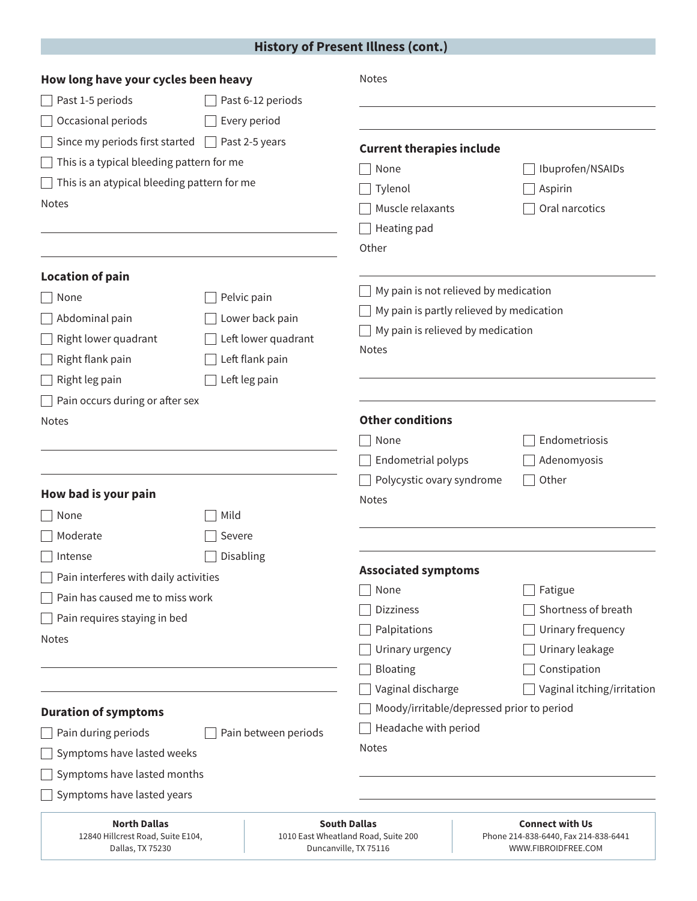## **History of Present Illness (cont.)**

| How long have your cycles been heavy                                         |                       | <b>Notes</b>                                                                        |                                                                                       |
|------------------------------------------------------------------------------|-----------------------|-------------------------------------------------------------------------------------|---------------------------------------------------------------------------------------|
| Past 1-5 periods                                                             | Past 6-12 periods     |                                                                                     |                                                                                       |
| Occasional periods                                                           | Every period          |                                                                                     |                                                                                       |
| Since my periods first started                                               | $\Box$ Past 2-5 years | <b>Current therapies include</b>                                                    |                                                                                       |
| This is a typical bleeding pattern for me                                    |                       | None                                                                                | Ibuprofen/NSAIDs                                                                      |
| This is an atypical bleeding pattern for me                                  |                       | Tylenol                                                                             | Aspirin                                                                               |
| <b>Notes</b>                                                                 |                       | Muscle relaxants                                                                    | Oral narcotics                                                                        |
|                                                                              |                       | Heating pad                                                                         |                                                                                       |
|                                                                              |                       | Other                                                                               |                                                                                       |
| <b>Location of pain</b>                                                      |                       |                                                                                     |                                                                                       |
| None                                                                         | Pelvic pain           | My pain is not relieved by medication                                               |                                                                                       |
| Abdominal pain                                                               | Lower back pain       | My pain is partly relieved by medication                                            |                                                                                       |
| Right lower quadrant                                                         | Left lower quadrant   | My pain is relieved by medication                                                   |                                                                                       |
| Right flank pain                                                             | Left flank pain       | <b>Notes</b>                                                                        |                                                                                       |
| Right leg pain                                                               | Left leg pain         |                                                                                     |                                                                                       |
| $\Box$ Pain occurs during or after sex                                       |                       |                                                                                     |                                                                                       |
| Notes                                                                        |                       | <b>Other conditions</b>                                                             |                                                                                       |
|                                                                              |                       | None                                                                                | Endometriosis                                                                         |
|                                                                              |                       | Endometrial polyps                                                                  | Adenomyosis                                                                           |
|                                                                              |                       | Polycystic ovary syndrome                                                           | Other                                                                                 |
| How bad is your pain                                                         |                       | <b>Notes</b>                                                                        |                                                                                       |
| None                                                                         | Mild                  |                                                                                     |                                                                                       |
| Moderate                                                                     | Severe                |                                                                                     |                                                                                       |
| Intense                                                                      | Disabling             |                                                                                     |                                                                                       |
| Pain interferes with daily activities                                        |                       | <b>Associated symptoms</b>                                                          |                                                                                       |
| Pain has caused me to miss work                                              |                       | None                                                                                | Fatigue                                                                               |
| Pain requires staying in bed                                                 |                       | <b>Dizziness</b>                                                                    | Shortness of breath                                                                   |
| <b>Notes</b>                                                                 |                       | Palpitations                                                                        | Urinary frequency                                                                     |
|                                                                              |                       | Urinary urgency                                                                     | Urinary leakage                                                                       |
|                                                                              |                       | Bloating<br>Vaginal discharge                                                       | Constipation                                                                          |
|                                                                              |                       |                                                                                     | Vaginal itching/irritation                                                            |
| <b>Duration of symptoms</b>                                                  |                       | Moody/irritable/depressed prior to period<br>Headache with period                   |                                                                                       |
| Pain during periods<br>Pain between periods                                  |                       | <b>Notes</b>                                                                        |                                                                                       |
| Symptoms have lasted weeks                                                   |                       |                                                                                     |                                                                                       |
| Symptoms have lasted months                                                  |                       |                                                                                     |                                                                                       |
| Symptoms have lasted years                                                   |                       |                                                                                     |                                                                                       |
| <b>North Dallas</b><br>12840 Hillcrest Road, Suite E104,<br>Dallas, TX 75230 |                       | <b>South Dallas</b><br>1010 East Wheatland Road, Suite 200<br>Duncanville, TX 75116 | <b>Connect with Us</b><br>Phone 214-838-6440, Fax 214-838-6441<br>WWW.FIBROIDFREE.COM |